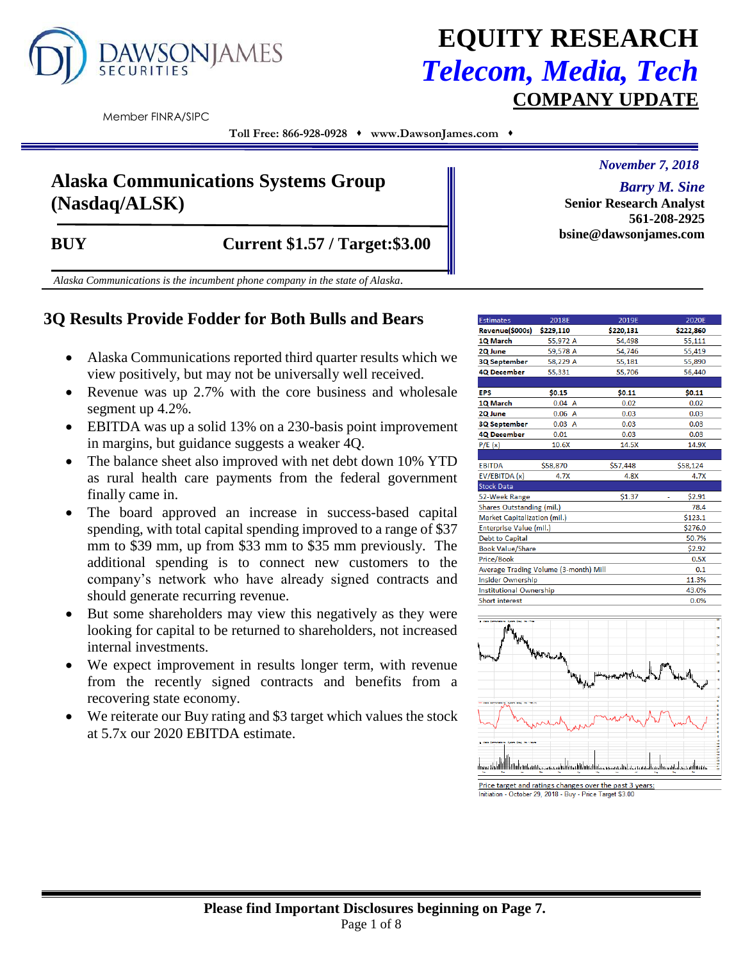

# **EQUITY RESEARCH** *Telecom, Media, Tech* **COMPANY UPDATE**

Member FINRA/SIPC

**Toll Free: 866-928-0928** ⬧ **www.DawsonJames.com** ⬧

## **Alaska Communications Systems Group (Nasdaq/ALSK)**

*November 7, 2018*

*Barry M. Sine* **Senior Research Analyst 561-208-2925 bsine@dawsonjames.com**

**BUY Current \$1.57 / Target:\$3.00** 

*Alaska Communications is the incumbent phone company in the state of Alaska.*

## **3Q Results Provide Fodder for Both Bulls and Bears**

- Alaska Communications reported third quarter results which we view positively, but may not be universally well received.
- Revenue was up 2.7% with the core business and wholesale segment up 4.2%.
- EBITDA was up a solid 13% on a 230-basis point improvement in margins, but guidance suggests a weaker 4Q.
- The balance sheet also improved with net debt down 10% YTD as rural health care payments from the federal government finally came in.
- The board approved an increase in success-based capital spending, with total capital spending improved to a range of \$37 mm to \$39 mm, up from \$33 mm to \$35 mm previously. The additional spending is to connect new customers to the company's network who have already signed contracts and should generate recurring revenue.
- But some shareholders may view this negatively as they were looking for capital to be returned to shareholders, not increased internal investments.
- We expect improvement in results longer term, with revenue from the recently signed contracts and benefits from a recovering state economy.
- We reiterate our Buy rating and \$3 target which values the stock at 5.7x our 2020 EBITDA estimate.

| <b>Estimates</b>                             | 2018E     | 2019E     | 2020E     |  |  |  |  |  |  |
|----------------------------------------------|-----------|-----------|-----------|--|--|--|--|--|--|
| Revenue(\$000s)                              | \$229,110 | \$220,131 | \$222,860 |  |  |  |  |  |  |
| 1Q March                                     | 55,972 A  | 54,498    | 55,111    |  |  |  |  |  |  |
| 2Q June                                      | 59,578 A  | 54.746    | 55,419    |  |  |  |  |  |  |
| <b>3Q September</b>                          | 58,229 A  | 55,181    | 55,890    |  |  |  |  |  |  |
| <b>4Q December</b>                           | 55,331    | 55,706    | 56,440    |  |  |  |  |  |  |
|                                              |           |           |           |  |  |  |  |  |  |
| <b>EPS</b>                                   | \$0.15    | \$0.11    | \$0.11    |  |  |  |  |  |  |
| 1Q March                                     | 0.04 A    | 0.02      | 0.02      |  |  |  |  |  |  |
| 2Q June                                      | 0.06A     | 0.03      | 0.03      |  |  |  |  |  |  |
| <b>3Q September</b>                          | 0.03 A    | 0.03      | 0.03      |  |  |  |  |  |  |
| <b>4Q December</b>                           | 0.01      | 0.03      | 0.03      |  |  |  |  |  |  |
| P/E(x)                                       | 10.6X     | 14.5X     | 14.9X     |  |  |  |  |  |  |
|                                              |           |           |           |  |  |  |  |  |  |
| <b>EBITDA</b>                                | \$58,870  | \$57,448  | \$58,124  |  |  |  |  |  |  |
| EV/EBITDA (x)                                | 4.7X      | 4.8X      | 4.7X      |  |  |  |  |  |  |
| <b>Stock Data</b>                            |           |           |           |  |  |  |  |  |  |
| 52-Week Range                                |           | \$1.37    | \$2.91    |  |  |  |  |  |  |
| Shares Outstanding (mil.)                    |           |           | 78.4      |  |  |  |  |  |  |
| Market Capitalization (mil.)                 |           |           | \$123.1   |  |  |  |  |  |  |
| Enterprise Value (mil.)                      |           |           | \$276.0   |  |  |  |  |  |  |
| <b>Debt to Capital</b>                       |           |           | 50.7%     |  |  |  |  |  |  |
| <b>Book Value/Share</b><br>\$2.92            |           |           |           |  |  |  |  |  |  |
| Price/Book<br>0.5X                           |           |           |           |  |  |  |  |  |  |
| Average Trading Volume (3-month) Mill<br>0.1 |           |           |           |  |  |  |  |  |  |
| <b>Insider Ownership</b><br>11.3%            |           |           |           |  |  |  |  |  |  |
| Institutional Ownership<br>43.0%             |           |           |           |  |  |  |  |  |  |
| <b>Short interest</b><br>0.0%                |           |           |           |  |  |  |  |  |  |



Price target and ratings changes over the past 3 years<br>Initiation - October 29, 2018 - Buy - Price Target \$3.00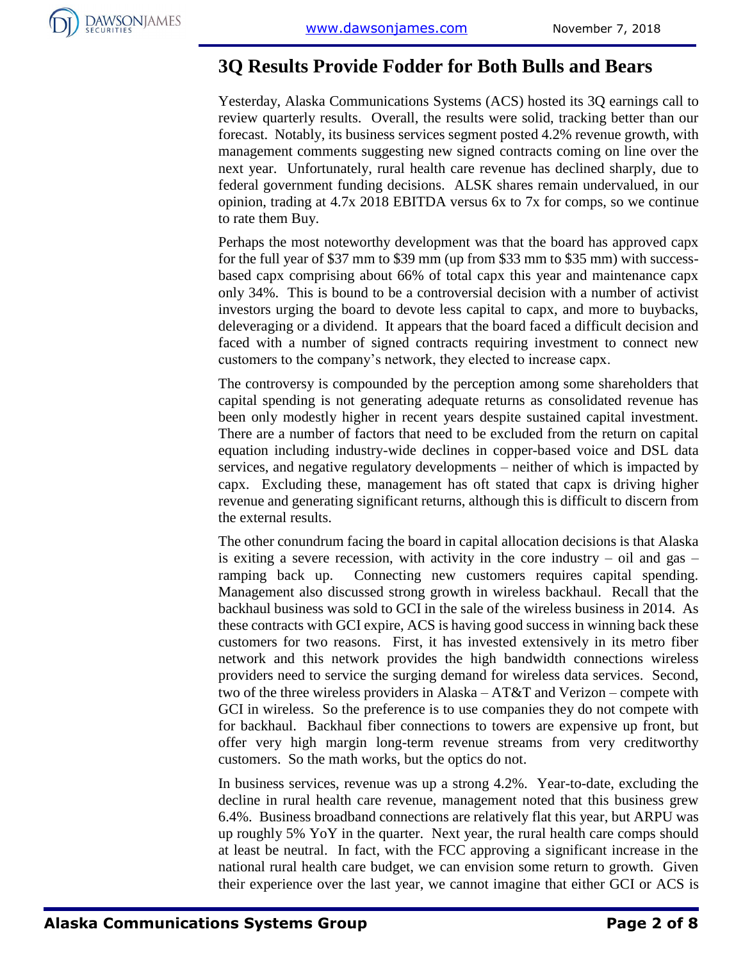

## **3Q Results Provide Fodder for Both Bulls and Bears**

Yesterday, Alaska Communications Systems (ACS) hosted its 3Q earnings call to review quarterly results. Overall, the results were solid, tracking better than our forecast. Notably, its business services segment posted 4.2% revenue growth, with management comments suggesting new signed contracts coming on line over the next year. Unfortunately, rural health care revenue has declined sharply, due to federal government funding decisions. ALSK shares remain undervalued, in our opinion, trading at 4.7x 2018 EBITDA versus 6x to 7x for comps, so we continue to rate them Buy.

Perhaps the most noteworthy development was that the board has approved capx for the full year of \$37 mm to \$39 mm (up from \$33 mm to \$35 mm) with successbased capx comprising about 66% of total capx this year and maintenance capx only 34%. This is bound to be a controversial decision with a number of activist investors urging the board to devote less capital to capx, and more to buybacks, deleveraging or a dividend. It appears that the board faced a difficult decision and faced with a number of signed contracts requiring investment to connect new customers to the company's network, they elected to increase capx.

The controversy is compounded by the perception among some shareholders that capital spending is not generating adequate returns as consolidated revenue has been only modestly higher in recent years despite sustained capital investment. There are a number of factors that need to be excluded from the return on capital equation including industry-wide declines in copper-based voice and DSL data services, and negative regulatory developments – neither of which is impacted by capx. Excluding these, management has oft stated that capx is driving higher revenue and generating significant returns, although this is difficult to discern from the external results.

The other conundrum facing the board in capital allocation decisions is that Alaska is exiting a severe recession, with activity in the core industry – oil and gas – ramping back up. Connecting new customers requires capital spending. Management also discussed strong growth in wireless backhaul. Recall that the backhaul business was sold to GCI in the sale of the wireless business in 2014. As these contracts with GCI expire, ACS is having good success in winning back these customers for two reasons. First, it has invested extensively in its metro fiber network and this network provides the high bandwidth connections wireless providers need to service the surging demand for wireless data services. Second, two of the three wireless providers in Alaska – AT&T and Verizon – compete with GCI in wireless. So the preference is to use companies they do not compete with for backhaul. Backhaul fiber connections to towers are expensive up front, but offer very high margin long-term revenue streams from very creditworthy customers. So the math works, but the optics do not.

In business services, revenue was up a strong 4.2%. Year-to-date, excluding the decline in rural health care revenue, management noted that this business grew 6.4%. Business broadband connections are relatively flat this year, but ARPU was up roughly 5% YoY in the quarter. Next year, the rural health care comps should at least be neutral. In fact, with the FCC approving a significant increase in the national rural health care budget, we can envision some return to growth. Given their experience over the last year, we cannot imagine that either GCI or ACS is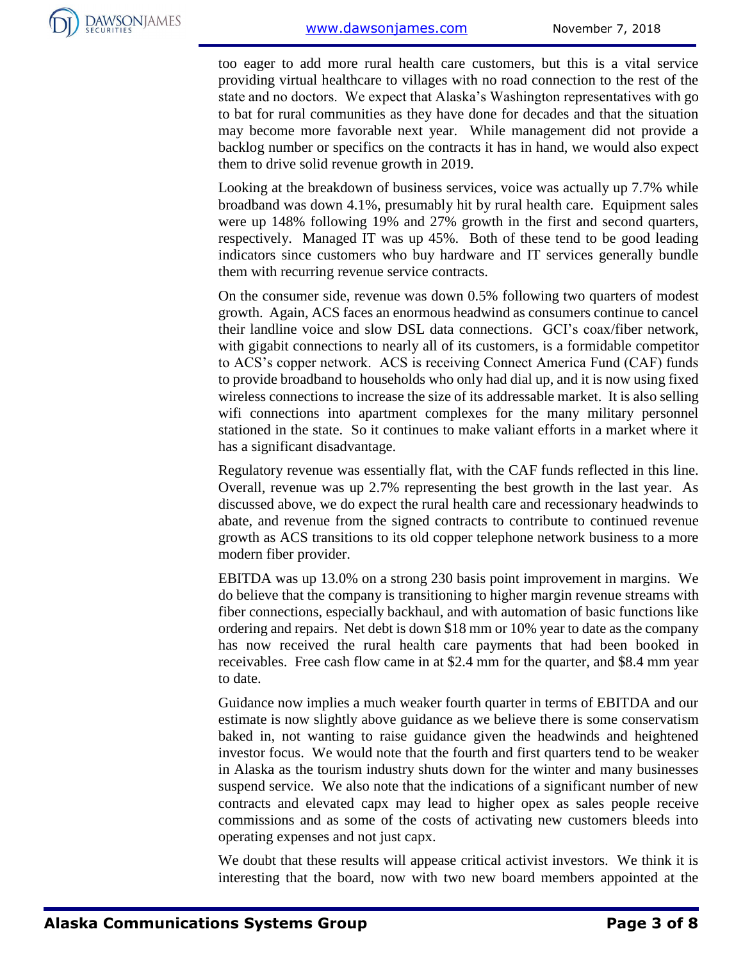too eager to add more rural health care customers, but this is a vital service providing virtual healthcare to villages with no road connection to the rest of the state and no doctors. We expect that Alaska's Washington representatives with go to bat for rural communities as they have done for decades and that the situation may become more favorable next year. While management did not provide a backlog number or specifics on the contracts it has in hand, we would also expect them to drive solid revenue growth in 2019.

Looking at the breakdown of business services, voice was actually up 7.7% while broadband was down 4.1%, presumably hit by rural health care. Equipment sales were up 148% following 19% and 27% growth in the first and second quarters, respectively. Managed IT was up 45%. Both of these tend to be good leading indicators since customers who buy hardware and IT services generally bundle them with recurring revenue service contracts.

On the consumer side, revenue was down 0.5% following two quarters of modest growth. Again, ACS faces an enormous headwind as consumers continue to cancel their landline voice and slow DSL data connections. GCI's coax/fiber network, with gigabit connections to nearly all of its customers, is a formidable competitor to ACS's copper network. ACS is receiving Connect America Fund (CAF) funds to provide broadband to households who only had dial up, and it is now using fixed wireless connections to increase the size of its addressable market. It is also selling wifi connections into apartment complexes for the many military personnel stationed in the state. So it continues to make valiant efforts in a market where it has a significant disadvantage.

Regulatory revenue was essentially flat, with the CAF funds reflected in this line. Overall, revenue was up 2.7% representing the best growth in the last year. As discussed above, we do expect the rural health care and recessionary headwinds to abate, and revenue from the signed contracts to contribute to continued revenue growth as ACS transitions to its old copper telephone network business to a more modern fiber provider.

EBITDA was up 13.0% on a strong 230 basis point improvement in margins. We do believe that the company is transitioning to higher margin revenue streams with fiber connections, especially backhaul, and with automation of basic functions like ordering and repairs. Net debt is down \$18 mm or 10% year to date as the company has now received the rural health care payments that had been booked in receivables. Free cash flow came in at \$2.4 mm for the quarter, and \$8.4 mm year to date.

Guidance now implies a much weaker fourth quarter in terms of EBITDA and our estimate is now slightly above guidance as we believe there is some conservatism baked in, not wanting to raise guidance given the headwinds and heightened investor focus. We would note that the fourth and first quarters tend to be weaker in Alaska as the tourism industry shuts down for the winter and many businesses suspend service. We also note that the indications of a significant number of new contracts and elevated capx may lead to higher opex as sales people receive commissions and as some of the costs of activating new customers bleeds into operating expenses and not just capx.

We doubt that these results will appease critical activist investors. We think it is interesting that the board, now with two new board members appointed at the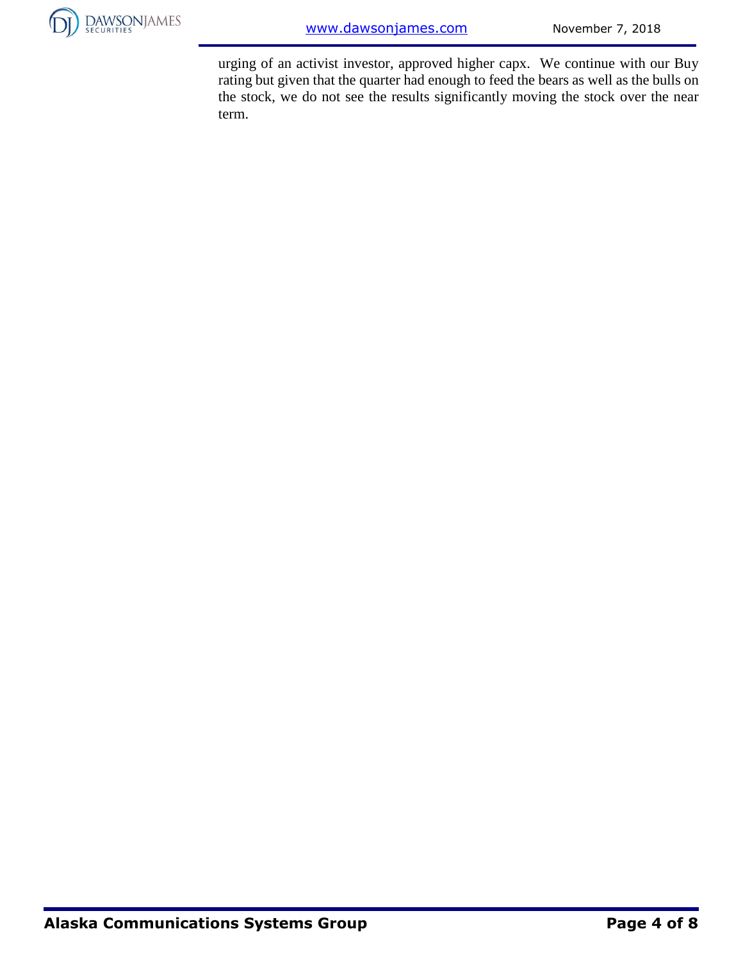

urging of an activist investor, approved higher capx. We continue with our Buy rating but given that the quarter had enough to feed the bears as well as the bulls on the stock, we do not see the results significantly moving the stock over the near term.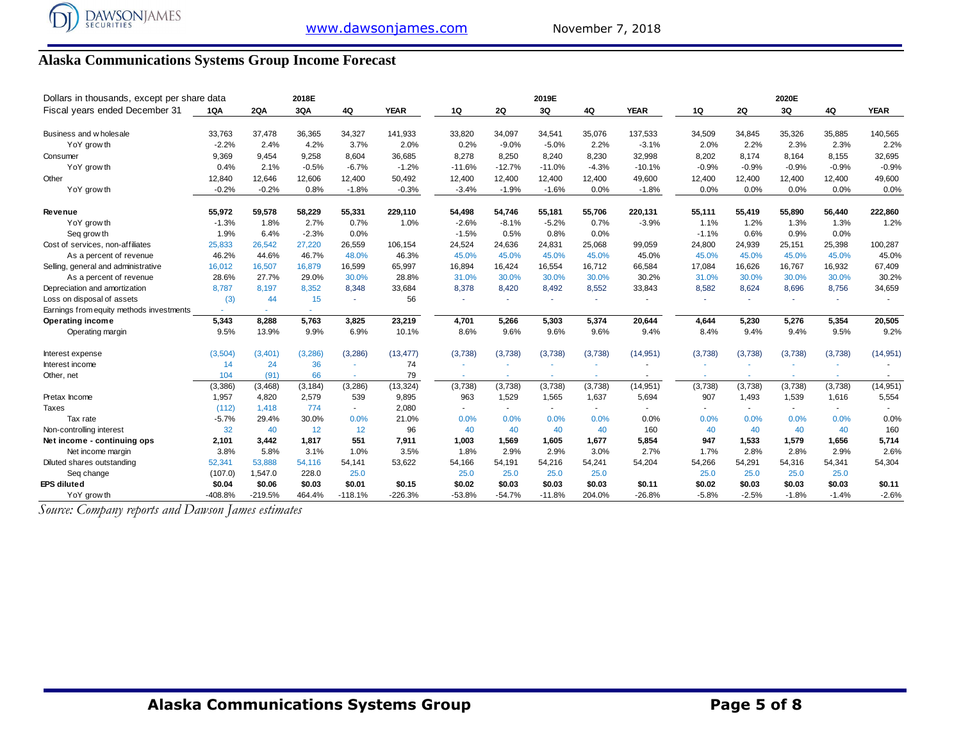## **Alaska Communications Systems Group Income Forecast**

| Dollars in thousands, except per share data<br>2018E |         |            |          |                          | 2019E       |                |                |          |                | 2020E       |         |         |         |         |             |
|------------------------------------------------------|---------|------------|----------|--------------------------|-------------|----------------|----------------|----------|----------------|-------------|---------|---------|---------|---------|-------------|
| Fiscal years ended December 31                       | 1QA     | <b>2QA</b> | 3QA      | 4Q                       | <b>YEAR</b> | 1Q             | <b>2Q</b>      | 3Q       | 4Q             | <b>YEAR</b> | 1Q      | 2Q      | 3Q      | 4Q      | <b>YEAR</b> |
| Business and w holesale                              | 33,763  | 37.478     | 36,365   | 34,327                   | 141,933     | 33,820         | 34,097         | 34,541   | 35,076         | 137,533     | 34,509  | 34,845  | 35,326  | 35,885  | 140,565     |
| YoY grow th                                          | $-2.2%$ | 2.4%       | 4.2%     | 3.7%                     | 2.0%        | 0.2%           | $-9.0%$        | $-5.0%$  | 2.2%           | $-3.1%$     | 2.0%    | 2.2%    | 2.3%    | 2.3%    | 2.2%        |
| Consumer                                             | 9,369   | 9,454      | 9,258    | 8,604                    | 36,685      | 8,278          | 8,250          | 8,240    | 8,230          | 32,998      | 8,202   | 8,174   | 8,164   | 8,155   | 32,695      |
| YoY grow th                                          | 0.4%    | 2.1%       | $-0.5%$  | $-6.7%$                  | $-1.2%$     | $-11.6%$       | $-12.7%$       | $-11.0%$ | $-4.3%$        | $-10.1%$    | $-0.9%$ | $-0.9%$ | $-0.9%$ | $-0.9%$ | $-0.9%$     |
| Other                                                | 12,840  | 12,646     | 12,606   | 12,400                   | 50,492      | 12,400         | 12,400         | 12,400   | 12,400         | 49,600      | 12,400  | 12,400  | 12,400  | 12,400  | 49,600      |
| YoY grow th                                          | $-0.2%$ | $-0.2%$    | 0.8%     | $-1.8%$                  | $-0.3%$     | $-3.4%$        | $-1.9%$        | $-1.6%$  | 0.0%           | $-1.8%$     | 0.0%    | 0.0%    | 0.0%    | 0.0%    | 0.0%        |
| <b>Revenue</b>                                       | 55,972  | 59,578     | 58,229   | 55,331                   | 229,110     | 54,498         | 54,746         | 55,181   | 55,706         | 220,131     | 55,111  | 55,419  | 55,890  | 56,440  | 222,860     |
| YoY grow th                                          | $-1.3%$ | 1.8%       | 2.7%     | 0.7%                     | 1.0%        | $-2.6%$        | $-8.1%$        | $-5.2%$  | 0.7%           | $-3.9%$     | 1.1%    | 1.2%    | 1.3%    | 1.3%    | 1.2%        |
| Seq grow th                                          | 1.9%    | 6.4%       | $-2.3%$  | 0.0%                     |             | $-1.5%$        | 0.5%           | 0.8%     | 0.0%           |             | $-1.1%$ | 0.6%    | 0.9%    | 0.0%    |             |
| Cost of services, non-affiliates                     | 25,833  | 26,542     | 27,220   | 26,559                   | 106,154     | 24,524         | 24,636         | 24,831   | 25,068         | 99,059      | 24,800  | 24,939  | 25,151  | 25,398  | 100,287     |
| As a percent of revenue                              | 46.2%   | 44.6%      | 46.7%    | 48.0%                    | 46.3%       | 45.0%          | 45.0%          | 45.0%    | 45.0%          | 45.0%       | 45.0%   | 45.0%   | 45.0%   | 45.0%   | 45.0%       |
| Selling, general and administrative                  | 16,012  | 16,507     | 16,879   | 16,599                   | 65,997      | 16,894         | 16,424         | 16,554   | 16,712         | 66,584      | 17,084  | 16,626  | 16,767  | 16,932  | 67,409      |
| As a percent of revenue                              | 28.6%   | 27.7%      | 29.0%    | 30.0%                    | 28.8%       | 31.0%          | 30.0%          | 30.0%    | 30.0%          | 30.2%       | 31.0%   | 30.0%   | 30.0%   | 30.0%   | 30.2%       |
| Depreciation and amortization                        | 8.787   | 8.197      | 8,352    | 8.348                    | 33,684      | 8,378          | 8.420          | 8.492    | 8,552          | 33,843      | 8,582   | 8.624   | 8.696   | 8.756   | 34,659      |
| Loss on disposal of assets                           | (3)     | 44         | 15       | ÷.                       | 56          |                |                |          | ÷.             |             |         | ÷.      | ×.      |         |             |
| Earnings from equity methods investments             |         |            |          |                          |             |                |                |          |                |             |         |         |         |         |             |
| <b>Operating income</b>                              | 5,343   | 8,288      | 5,763    | 3,825                    | 23,219      | 4,701          | 5,266          | 5,303    | 5,374          | 20,644      | 4,644   | 5,230   | 5,276   | 5,354   | 20,505      |
| Operating margin                                     | 9.5%    | 13.9%      | 9.9%     | 6.9%                     | 10.1%       | 8.6%           | 9.6%           | 9.6%     | 9.6%           | 9.4%        | 8.4%    | 9.4%    | 9.4%    | 9.5%    | 9.2%        |
| Interest expense                                     | (3,504) | (3,401)    | (3, 286) | (3, 286)                 | (13, 477)   | (3,738)        | (3,738)        | (3,738)  | (3,738)        | (14, 951)   | (3,738) | (3,738) | (3,738) | (3,738) | (14, 951)   |
| Interest income                                      | 14      | 24         | 36       | ×.                       | 74          |                | ٠              |          |                |             |         |         |         |         |             |
| Other, net                                           | 104     | (91)       | 66       | ÷.                       | 79          | ٠              | $\sim$         | $\sim$   | ÷              |             |         | ×.      | ÷       |         |             |
|                                                      | (3,386) | (3, 468)   | (3, 184) | (3, 286)                 | (13, 324)   | (3,738)        | (3,738)        | (3,738)  | (3,738)        | (14, 951)   | (3,738) | (3,738) | (3,738) | (3,738) | (14, 951)   |
| Pretax Income                                        | 1,957   | 4,820      | 2,579    | 539                      | 9,895       | 963            | 1,529          | 1,565    | 1,637          | 5,694       | 907     | 1,493   | 1,539   | 1,616   | 5,554       |
| Taxes                                                | (112)   | 1,418      | 774      | $\overline{\phantom{a}}$ | 2,080       | $\blacksquare$ | $\blacksquare$ |          | $\blacksquare$ |             |         | $\sim$  |         |         |             |
| Tax rate                                             | $-5.7%$ | 29.4%      | 30.0%    | 0.0%                     | 21.0%       | 0.0%           | 0.0%           | 0.0%     | 0.0%           | 0.0%        | 0.0%    | 0.0%    | 0.0%    | 0.0%    | 0.0%        |
| Non-controlling interest                             | 32      | 40         | 12       | 12                       | 96          | 40             | 40             | 40       | 40             | 160         | 40      | 40      | 40      | 40      | 160         |
| Net income - continuing ops                          | 2,101   | 3,442      | 1,817    | 551                      | 7,911       | 1,003          | 1,569          | 1,605    | 1,677          | 5,854       | 947     | 1,533   | 1,579   | 1,656   | 5,714       |
| Net income margin                                    | 3.8%    | 5.8%       | 3.1%     | 1.0%                     | 3.5%        | 1.8%           | 2.9%           | 2.9%     | 3.0%           | 2.7%        | 1.7%    | 2.8%    | 2.8%    | 2.9%    | 2.6%        |
| Diluted shares outstanding                           | 52,341  | 53,888     | 54,116   | 54,141                   | 53,622      | 54,166         | 54,191         | 54,216   | 54,241         | 54,204      | 54,266  | 54,291  | 54,316  | 54,341  | 54,304      |
| Seq change                                           | (107.0) | 1,547.0    | 228.0    | 25.0                     |             | 25.0           | 25.0           | 25.0     | 25.0           |             | 25.0    | 25.0    | 25.0    | 25.0    |             |
| EPS diluted                                          | \$0.04  | \$0.06     | \$0.03   | \$0.01                   | \$0.15      | \$0.02         | \$0.03         | \$0.03   | \$0.03         | \$0.11      | \$0.02  | \$0.03  | \$0.03  | \$0.03  | \$0.11      |
| YoY grow th                                          | -408.8% | $-219.5%$  | 464.4%   | $-118.1%$                | $-226.3%$   | $-53.8%$       | $-54.7%$       | $-11.8%$ | 204.0%         | $-26.8%$    | $-5.8%$ | $-2.5%$ | $-1.8%$ | $-1.4%$ | $-2.6%$     |

*Source: Company reports and Dawson James estimates*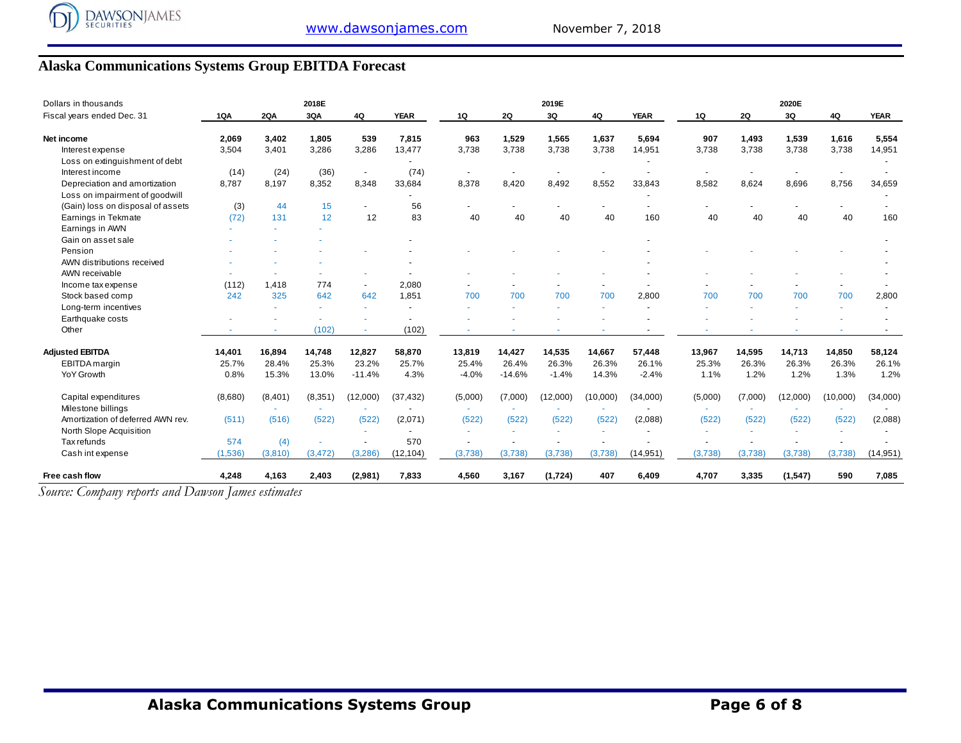### **Alaska Communications Systems Group EBITDA Forecast**

| Dollars in thousands              |         |            | 2018E    |                          |             |         |          | 2019E    |          |             |         |           | 2020E    |          |             |
|-----------------------------------|---------|------------|----------|--------------------------|-------------|---------|----------|----------|----------|-------------|---------|-----------|----------|----------|-------------|
| Fiscal years ended Dec. 31        | 1QA     | <b>2QA</b> | 3QA      | 4Q                       | <b>YEAR</b> | 1Q      | 2Q       | 3Q       | 4Q       | <b>YEAR</b> | 1Q      | <b>2Q</b> | 3Q       | 4Q       | <b>YEAR</b> |
| Net income                        | 2,069   | 3,402      | 1,805    | 539                      | 7,815       | 963     | 1,529    | 1,565    | 1,637    | 5,694       | 907     | 1,493     | 1,539    | 1,616    | 5,554       |
| Interest expense                  | 3,504   | 3,401      | 3,286    | 3,286                    | 13,477      | 3,738   | 3,738    | 3,738    | 3,738    | 14,951      | 3,738   | 3,738     | 3,738    | 3,738    | 14,951      |
| Loss on extinguishment of debt    |         |            |          |                          |             |         |          |          |          |             |         |           |          |          |             |
| Interest income                   | (14)    | (24)       | (36)     | $\overline{\phantom{a}}$ | (74)        |         |          |          |          |             |         |           |          |          |             |
| Depreciation and amortization     | 8,787   | 8.197      | 8,352    | 8,348                    | 33,684      | 8,378   | 8,420    | 8,492    | 8,552    | 33,843      | 8,582   | 8,624     | 8,696    | 8,756    | 34,659      |
| Loss on impairment of goodwill    |         |            |          |                          |             |         |          |          |          |             |         |           |          |          |             |
| (Gain) loss on disposal of assets | (3)     | 44         | 15       | $\blacksquare$           | 56          |         |          |          |          |             |         |           |          |          |             |
| Earnings in Tekmate               | (72)    | 131        | 12       | 12                       | 83          | 40      | 40       | 40       | 40       | 160         | 40      | 40        | 40       | 40       | 160         |
| Earnings in AWN                   |         |            |          |                          |             |         |          |          |          |             |         |           |          |          |             |
| Gain on asset sale                |         |            |          |                          |             |         |          |          |          |             |         |           |          |          |             |
| Pension                           |         |            |          |                          |             |         |          |          |          |             |         |           |          |          |             |
| AWN distributions received        |         |            |          |                          |             |         |          |          |          |             |         |           |          |          |             |
| AWN receivable                    |         |            |          |                          |             |         |          |          |          |             |         |           |          |          |             |
| Income tax expense                | (112)   | 1.418      | 774      | $\overline{\phantom{a}}$ | 2,080       |         |          |          |          |             |         |           |          |          |             |
| Stock based comp                  | 242     | 325        | 642      | 642                      | 1,851       | 700     | 700      | 700      | 700      | 2,800       | 700     | 700       | 700      | 700      | 2,800       |
| Long-term incentives              |         |            |          |                          |             |         |          |          |          |             |         |           |          |          |             |
| Earthquake costs                  |         |            |          |                          |             |         |          |          |          |             |         |           |          |          |             |
| Other                             |         |            | (102)    |                          | (102)       |         |          |          |          |             |         |           |          |          |             |
| <b>Adjusted EBITDA</b>            | 14,401  | 16,894     | 14,748   | 12,827                   | 58,870      | 13,819  | 14,427   | 14,535   | 14,667   | 57,448      | 13,967  | 14,595    | 14,713   | 14,850   | 58,124      |
| EBITDA margin                     | 25.7%   | 28.4%      | 25.3%    | 23.2%                    | 25.7%       | 25.4%   | 26.4%    | 26.3%    | 26.3%    | 26.1%       | 25.3%   | 26.3%     | 26.3%    | 26.3%    | 26.1%       |
| <b>YoY Growth</b>                 | 0.8%    | 15.3%      | 13.0%    | $-11.4%$                 | 4.3%        | $-4.0%$ | $-14.6%$ | $-1.4%$  | 14.3%    | $-2.4%$     | 1.1%    | 1.2%      | 1.2%     | 1.3%     | 1.2%        |
| Capital expenditures              | (8,680) | (8,401)    | (8,351)  | (12,000)                 | (37, 432)   | (5,000) | (7,000)  | (12,000) | (10,000) | (34,000)    | (5,000) | (7,000)   | (12,000) | (10,000) | (34,000)    |
| Milestone billings                |         |            |          |                          |             |         |          |          |          |             |         |           |          |          |             |
| Amortization of deferred AWN rev. | (511)   | (516)      | (522)    | (522)                    | (2,071)     | (522)   | (522)    | (522)    | (522)    | (2,088)     | (522)   | (522)     | (522)    | (522)    | (2,088)     |
| North Slope Acquisition           |         |            |          |                          |             |         |          |          |          |             |         |           |          |          |             |
| Tax refunds                       | 574     | (4)        |          |                          | 570         |         |          |          |          |             |         |           |          |          |             |
| Cash int expense                  | (1,536) | (3,810)    | (3, 472) | (3,286)                  | (12, 104)   | (3,738) | (3,738)  | (3,738)  | (3,738)  | (14, 951)   | (3,738) | (3,738)   | (3,738)  | (3,738)  | (14, 951)   |
| Free cash flow                    | 4,248   | 4,163      | 2,403    | (2,981)                  | 7,833       | 4,560   | 3,167    | (1,724)  | 407      | 6,409       | 4,707   | 3,335     | (1, 547) | 590      | 7,085       |

*Source: Company reports and Dawson James estimates*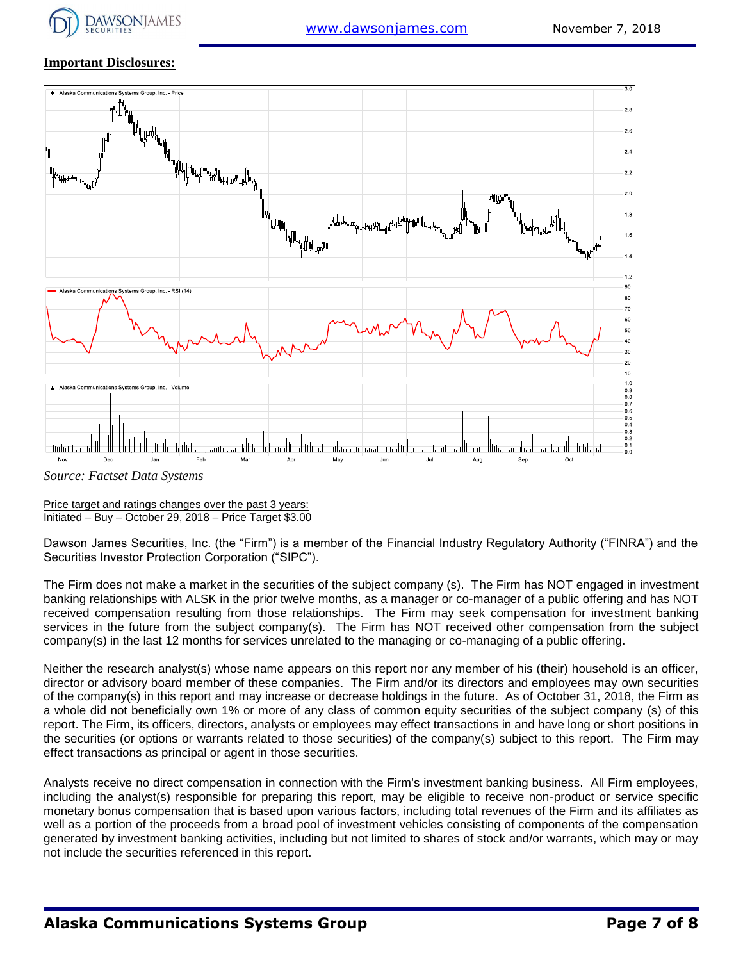

#### **Important Disclosures:**



*Source: Factset Data Systems*

Price target and ratings changes over the past 3 years: Initiated – Buy – October 29, 2018 – Price Target \$3.00

Dawson James Securities, Inc. (the "Firm") is a member of the Financial Industry Regulatory Authority ("FINRA") and the Securities Investor Protection Corporation ("SIPC").

The Firm does not make a market in the securities of the subject company (s). The Firm has NOT engaged in investment banking relationships with ALSK in the prior twelve months, as a manager or co-manager of a public offering and has NOT received compensation resulting from those relationships. The Firm may seek compensation for investment banking services in the future from the subject company(s). The Firm has NOT received other compensation from the subject company(s) in the last 12 months for services unrelated to the managing or co-managing of a public offering.

Neither the research analyst(s) whose name appears on this report nor any member of his (their) household is an officer, director or advisory board member of these companies. The Firm and/or its directors and employees may own securities of the company(s) in this report and may increase or decrease holdings in the future. As of October 31, 2018, the Firm as a whole did not beneficially own 1% or more of any class of common equity securities of the subject company (s) of this report. The Firm, its officers, directors, analysts or employees may effect transactions in and have long or short positions in the securities (or options or warrants related to those securities) of the company(s) subject to this report. The Firm may effect transactions as principal or agent in those securities.

Analysts receive no direct compensation in connection with the Firm's investment banking business. All Firm employees, including the analyst(s) responsible for preparing this report, may be eligible to receive non-product or service specific monetary bonus compensation that is based upon various factors, including total revenues of the Firm and its affiliates as well as a portion of the proceeds from a broad pool of investment vehicles consisting of components of the compensation generated by investment banking activities, including but not limited to shares of stock and/or warrants, which may or may not include the securities referenced in this report.